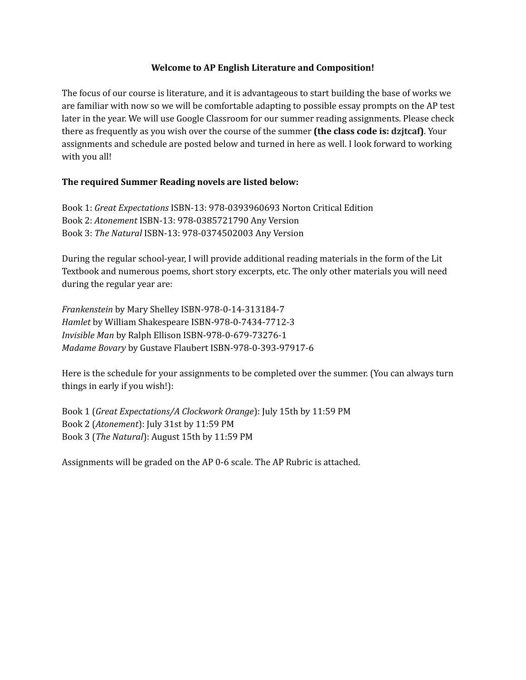#### **Welcome to AP English Literature and Composition!**

The focus of our course is literature, and it is advantageous to start building the base of works we are familiar with now so we will be comfortable adapting to possible essay prompts on the AP test later in the year. We will use Google Classroom for our summer reading assignments. Please check there as frequently as you wish over the course of the summer **(the class code is: dzjtcaf)**. Your assignments and schedule are posted below and turned in here as well. I look forward to working with you all!

### **The required Summer Reading novels are listed below:**

Book 1: *Great Expectations* ISBN-13: 978-0393960693 Norton Critical Edition Book 2: *Atonement* ISBN-13: 978-0385721790 Any Version Book 3: *The Natural* ISBN-13: 978-0374502003 Any Version

During the regular school-year, I will provide additional reading materials in the form of the Lit Textbook and numerous poems, short story excerpts, etc. The only other materials you will need during the regular year are:

*Frankenstein* by Mary Shelley ISBN-978-0-14-313184-7 *Hamlet* by William Shakespeare ISBN-978-0-7434-7712-3 *Invisible Man* by Ralph Ellison ISBN-978-0-679-73276-1 *Madame Bovary* by Gustave Flaubert ISBN-978-0-393-97917-6

Here is the schedule for your assignments to be completed over the summer. (You can always turn things in early if you wish!):

Book 1 (*Great Expectations/A Clockwork Orange*): July 15th by 11:59 PM Book 2 (*Atonement*): July 31st by 11:59 PM Book 3 (*The Natural*): August 15th by 11:59 PM

Assignments will be graded on the AP 0-6 scale. The AP Rubric is attached.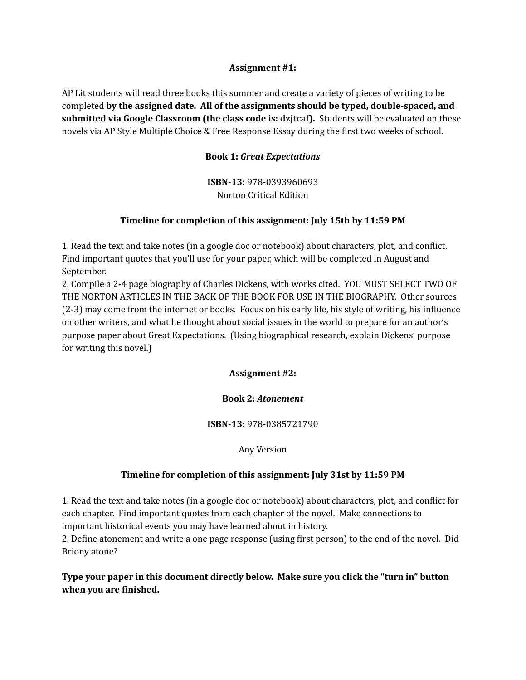#### **Assignment #1:**

AP Lit students will read three books this summer and create a variety of pieces of writing to be completed **by the assigned date. All of the assignments should be typed, double-spaced, and submitted via Google Classroom (the class code is: dzjtcaf).** Students will be evaluated on these novels via AP Style Multiple Choice & Free Response Essay during the first two weeks of school.

### **Book 1:** *Great Expectations*

**ISBN-13:** 978-0393960693 Norton Critical Edition

### **Timeline for completion of this assignment: July 15th by 11:59 PM**

1. Read the text and take notes (in a google doc or notebook) about characters, plot, and conflict. Find important quotes that you'll use for your paper, which will be completed in August and September.

2. Compile a 2-4 page biography of Charles Dickens, with works cited. YOU MUST SELECT TWO OF THE NORTON ARTICLES IN THE BACK OF THE BOOK FOR USE IN THE BIOGRAPHY. Other sources (2-3) may come from the internet or books. Focus on his early life, his style of writing, his influence on other writers, and what he thought about social issues in the world to prepare for an author's purpose paper about Great Expectations. (Using biographical research, explain Dickens' purpose for writing this novel.)

**Assignment #2:**

#### **Book 2:** *Atonement*

#### **ISBN-13:** 978-0385721790

Any Version

### **Timeline for completion of this assignment: July 31st by 11:59 PM**

1. Read the text and take notes (in a google doc or notebook) about characters, plot, and conflict for each chapter. Find important quotes from each chapter of the novel. Make connections to important historical events you may have learned about in history.

2. Define atonement and write a one page response (using first person) to the end of the novel. Did Briony atone?

**Type your paper in this document directly below. Make sure you click the "turn in" button when you are finished.**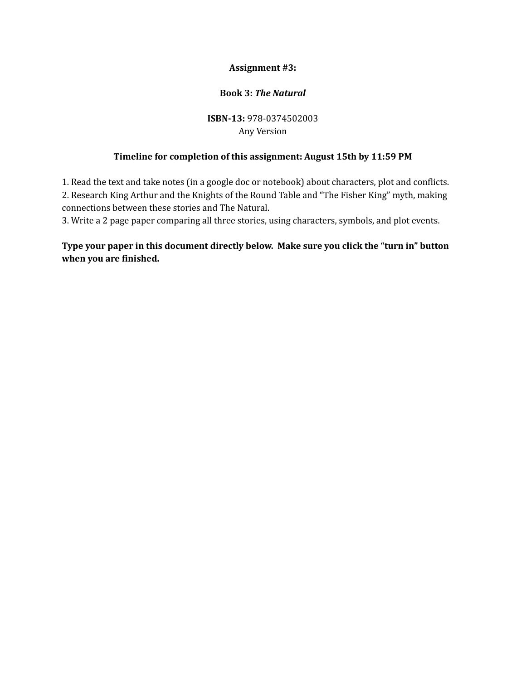## **Assignment #3:**

## **Book 3:** *The Natural*

# **ISBN-13:** 978-0374502003 Any Version

## **Timeline for completion of this assignment: August 15th by 11:59 PM**

1. Read the text and take notes (in a google doc or notebook) about characters, plot and conflicts. 2. Research King Arthur and the Knights of the Round Table and "The Fisher King" myth, making connections between these stories and The Natural.

3. Write a 2 page paper comparing all three stories, using characters, symbols, and plot events.

# **Type your paper in this document directly below. Make sure you click the "turn in" button when you are finished.**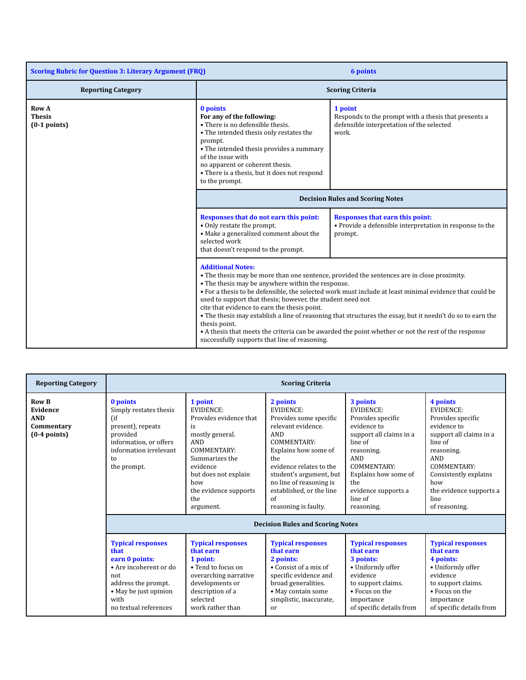| <b>Scoring Rubric for Question 3: Literary Argument (FRQ)</b> |                                                                                                                                                                                                                                                                                                                                                                                                                                                                                                                                                                                                                                                                                             | <b>6 points</b>                                                                                                       |
|---------------------------------------------------------------|---------------------------------------------------------------------------------------------------------------------------------------------------------------------------------------------------------------------------------------------------------------------------------------------------------------------------------------------------------------------------------------------------------------------------------------------------------------------------------------------------------------------------------------------------------------------------------------------------------------------------------------------------------------------------------------------|-----------------------------------------------------------------------------------------------------------------------|
| <b>Reporting Category</b>                                     | <b>Scoring Criteria</b>                                                                                                                                                                                                                                                                                                                                                                                                                                                                                                                                                                                                                                                                     |                                                                                                                       |
| <b>Row A</b><br><b>Thesis</b><br>$(0-1$ points)               | 0 points<br>For any of the following:<br>• There is no defensible thesis.<br>• The intended thesis only restates the<br>prompt.<br>• The intended thesis provides a summary<br>of the issue with<br>no apparent or coherent thesis.<br>• There is a thesis, but it does not respond<br>to the prompt.                                                                                                                                                                                                                                                                                                                                                                                       | 1 point<br>Responds to the prompt with a thesis that presents a<br>defensible interpretation of the selected<br>work. |
|                                                               | <b>Decision Rules and Scoring Notes</b>                                                                                                                                                                                                                                                                                                                                                                                                                                                                                                                                                                                                                                                     |                                                                                                                       |
|                                                               | Responses that do not earn this point:<br>• Only restate the prompt.<br>• Make a generalized comment about the<br>selected work<br>that doesn't respond to the prompt.                                                                                                                                                                                                                                                                                                                                                                                                                                                                                                                      | <b>Responses that earn this point:</b><br>• Provide a defensible interpretation in response to the<br>prompt.         |
|                                                               | <b>Additional Notes:</b><br>• The thesis may be more than one sentence, provided the sentences are in close proximity.<br>• The thesis may be anywhere within the response.<br>• For a thesis to be defensible, the selected work must include at least minimal evidence that could be<br>used to support that thesis; however, the student need not<br>cite that evidence to earn the thesis point.<br>. The thesis may establish a line of reasoning that structures the essay, but it needn't do so to earn the<br>thesis point.<br>• A thesis that meets the criteria can be awarded the point whether or not the rest of the response<br>successfully supports that line of reasoning. |                                                                                                                       |

| <b>Reporting Category</b>                                              | <b>Scoring Criteria</b>                                                                                                                                              |                                                                                                                                                                                                                       |                                                                                                                                                                                                                                                                                                                                 |                                                                                                                                                                                                                                  |                                                                                                                                                                                                                                       |
|------------------------------------------------------------------------|----------------------------------------------------------------------------------------------------------------------------------------------------------------------|-----------------------------------------------------------------------------------------------------------------------------------------------------------------------------------------------------------------------|---------------------------------------------------------------------------------------------------------------------------------------------------------------------------------------------------------------------------------------------------------------------------------------------------------------------------------|----------------------------------------------------------------------------------------------------------------------------------------------------------------------------------------------------------------------------------|---------------------------------------------------------------------------------------------------------------------------------------------------------------------------------------------------------------------------------------|
| <b>Row B</b><br>Evidence<br><b>AND</b><br>Commentary<br>$(0-4$ points) | 0 points<br>Simply restates thesis<br>$($ if<br>present), repeats<br>provided<br>information, or offers<br>information irrelevant<br>to<br>the prompt.               | 1 point<br><b>EVIDENCE:</b><br>Provides evidence that<br>is<br>mostly general.<br><b>AND</b><br>COMMENTARY:<br>Summarizes the<br>evidence<br>but does not explain<br>how<br>the evidence supports<br>the<br>argument. | 2 points<br>EVIDENCE:<br>Provides some specific<br>relevant evidence.<br><b>AND</b><br>COMMENTARY:<br>Explains how some of<br>the<br>evidence relates to the<br>student's argument, but<br>no line of reasoning is<br>established, or the line<br>$\alpha$ f<br>reasoning is faulty.<br><b>Decision Rules and Scoring Notes</b> | 3 points<br><b>EVIDENCE:</b><br>Provides specific<br>evidence to<br>support all claims in a<br>line of<br>reasoning.<br><b>AND</b><br>COMMENTARY:<br>Explains how some of<br>the<br>evidence supports a<br>line of<br>reasoning. | 4 points<br><b>EVIDENCE:</b><br>Provides specific<br>evidence to<br>support all claims in a<br>line of<br>reasoning.<br><b>AND</b><br>COMMENTARY:<br>Consistently explains<br>how<br>the evidence supports a<br>line<br>of reasoning. |
|                                                                        | <b>Typical responses</b><br>that<br>earn 0 points:<br>• Are incoherent or do<br>not<br>address the prompt.<br>• May be just opinion<br>with<br>no textual references | <b>Typical responses</b><br>that earn<br>1 point:<br>• Tend to focus on<br>overarching narrative<br>developments or<br>description of a<br>selected<br>work rather than                                               | <b>Typical responses</b><br>that earn<br>2 points:<br>$\bullet$ Consist of a mix of<br>specific evidence and<br>broad generalities.<br>• May contain some<br>simplistic, inaccurate,<br>or                                                                                                                                      | <b>Typical responses</b><br>that earn<br>3 points:<br>• Uniformly offer<br>evidence<br>to support claims.<br>• Focus on the<br>importance<br>of specific details from                                                            | <b>Typical responses</b><br>that earn<br>4 points:<br>• Uniformly offer<br>evidence<br>to support claims.<br>• Focus on the<br>importance<br>of specific details from                                                                 |